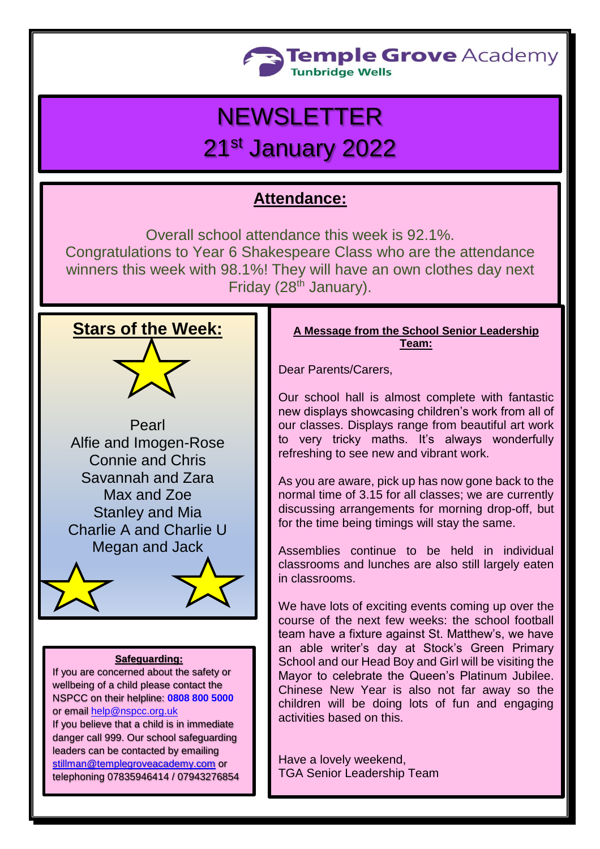

# **NEWSLETTER**

## 21st January 2022

### **Attendance:**

Overall school attendance this week is 92.1%. Congratulations to Year 6 Shakespeare Class who are the attendance winners this week with 98.1%! They will have an own clothes day next Friday (28<sup>th</sup> January).





#### **Safeguarding:**

If you are concerned about the safety or wellbeing of a child please contact the NSPCC on their helpline: **[0808 800 5000](tel:08088005000)** or email [help@nspcc.org.uk](mailto:help@nspcc.org.uk)

If you believe that a child is in immediate danger call 999. Our school safeguarding leaders can be contacted by emailing [stillman@templegroveacademy.com](mailto:stillman@templegroveacademy.com) or telephoning 07835946414 / 07943276854

#### **A Message from the School Senior Leadership Team:**

Dear Parents/Carers,

Our school hall is almost complete with fantastic new displays showcasing children's work from all of our classes. Displays range from beautiful art work to very tricky maths. It's always wonderfully refreshing to see new and vibrant work.

As you are aware, pick up has now gone back to the normal time of 3.15 for all classes; we are currently discussing arrangements for morning drop-off, but for the time being timings will stay the same.

Assemblies continue to be held in individual classrooms and lunches are also still largely eaten in classrooms.

We have lots of exciting events coming up over the course of the next few weeks: the school football team have a fixture against St. Matthew's, we have an able writer's day at Stock's Green Primary School and our Head Boy and Girl will be visiting the Mayor to celebrate the Queen's Platinum Jubilee. Chinese New Year is also not far away so the children will be doing lots of fun and engaging activities based on this.

Have a lovely weekend, TGA Senior Leadership Team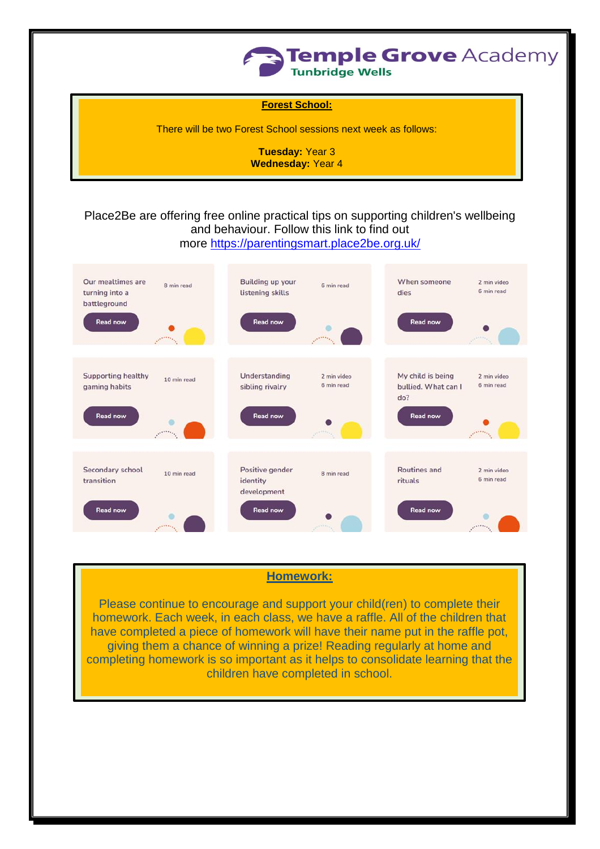

**Forest School:**

There will be two Forest School sessions next week as follows:

**Tuesday:** Year 3 **Wednesday:** Year 4

#### Place2Be are offering free online practical tips on supporting children's wellbeing and behaviour. Follow this link to find out more <https://parentingsmart.place2be.org.uk/>



#### **Homework:**

Please continue to encourage and support your child(ren) to complete their homework. Each week, in each class, we have a raffle. All of the children that have completed a piece of homework will have their name put in the raffle pot, giving them a chance of winning a prize! Reading regularly at home and completing homework is so important as it helps to consolidate learning that the children have completed in school.